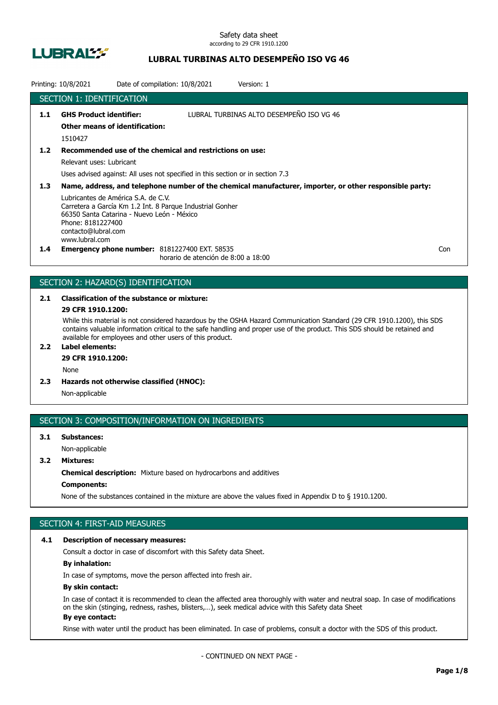

## **LUBRAL TURBINAS ALTO DESEMPEÑO ISO VG 46**

|                  | Printing: 10/8/2021                                                                                                                             | Date of compilation: 10/8/2021                                                              | Version: 1                                                                                              |     |
|------------------|-------------------------------------------------------------------------------------------------------------------------------------------------|---------------------------------------------------------------------------------------------|---------------------------------------------------------------------------------------------------------|-----|
|                  | SECTION 1: IDENTIFICATION                                                                                                                       |                                                                                             |                                                                                                         |     |
| 1.1              | <b>GHS Product identifier:</b><br><b>Other means of identification:</b><br>1510427                                                              |                                                                                             | LUBRAL TURBINAS ALTO DESEMPEÑO ISO VG 46                                                                |     |
| 1.2              | Relevant uses: Lubricant                                                                                                                        | Recommended use of the chemical and restrictions on use:                                    |                                                                                                         |     |
|                  |                                                                                                                                                 | Uses advised against: All uses not specified in this section or in section 7.3              |                                                                                                         |     |
| 1.3 <sub>2</sub> |                                                                                                                                                 |                                                                                             | Name, address, and telephone number of the chemical manufacturer, importer, or other responsible party: |     |
|                  | Lubricantes de América S.A. de C.V.<br>66350 Santa Catarina - Nuevo León - México<br>Phone: 8181227400<br>contacto@lubral.com<br>www.lubral.com | Carretera a García Km 1.2 Int. 8 Parque Industrial Gonher                                   |                                                                                                         |     |
| $1.4^{\circ}$    |                                                                                                                                                 | <b>Emergency phone number: 8181227400 EXT. 58535</b><br>horario de atención de 8:00 a 18:00 |                                                                                                         | Con |

## SECTION 2: HAZARD(S) IDENTIFICATION

# **2.1 Classification of the substance or mixture:**

## **29 CFR 1910.1200:**

While this material is not considered hazardous by the OSHA Hazard Communication Standard (29 CFR 1910.1200), this SDS contains valuable information critical to the safe handling and proper use of the product. This SDS should be retained and available for employees and other users of this product.

## **2.2 Label elements:**

## **29 CFR 1910.1200:**

None

**2.3 Hazards not otherwise classified (HNOC):**

Non-applicable

## SECTION 3: COMPOSITION/INFORMATION ON INGREDIENTS

## **3.1 Substances:** Non-applicable

## **3.2 Mixtures:**

**Chemical description:** Mixture based on hydrocarbons and additives

### **Components:**

None of the substances contained in the mixture are above the values fixed in Appendix D to § 1910.1200.

## SECTION 4: FIRST-AID MEASURES

#### **4.1 Description of necessary measures:**

Consult a doctor in case of discomfort with this Safety data Sheet.

### **By inhalation:**

In case of symptoms, move the person affected into fresh air.

#### **By skin contact:**

In case of contact it is recommended to clean the affected area thoroughly with water and neutral soap. In case of modifications on the skin (stinging, redness, rashes, blisters,…), seek medical advice with this Safety data Sheet **By eye contact:**

#### Rinse with water until the product has been eliminated. In case of problems, consult a doctor with the SDS of this product.

- CONTINUED ON NEXT PAGE -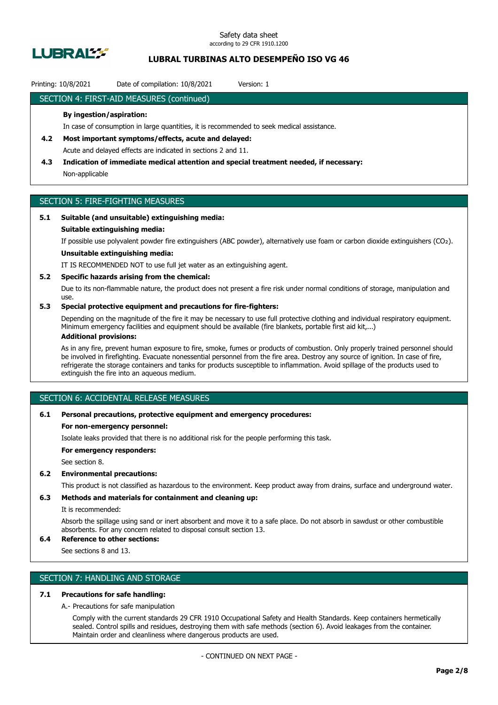

## **LUBRAL TURBINAS ALTO DESEMPEÑO ISO VG 46**

### Printing: 10/8/2021 Date of compilation: 10/8/2021 Version: 1

### SECTION 4: FIRST-AID MEASURES (continued)

#### **By ingestion/aspiration:**

In case of consumption in large quantities, it is recommended to seek medical assistance.

- **4.2 Most important symptoms/effects, acute and delayed:** Acute and delayed effects are indicated in sections 2 and 11.
- **4.3 Indication of immediate medical attention and special treatment needed, if necessary:** Non-applicable

## SECTION 5: FIRE-FIGHTING MEASURES

#### **5.1 Suitable (and unsuitable) extinguishing media:**

#### **Suitable extinguishing media:**

If possible use polyvalent powder fire extinguishers (ABC powder), alternatively use foam or carbon dioxide extinguishers (CO₂).

## **Unsuitable extinguishing media:**

IT IS RECOMMENDED NOT to use full jet water as an extinguishing agent.

#### **5.2 Specific hazards arising from the chemical:**

Due to its non-flammable nature, the product does not present a fire risk under normal conditions of storage, manipulation and use.

### **5.3 Special protective equipment and precautions for fire-fighters:**

Depending on the magnitude of the fire it may be necessary to use full protective clothing and individual respiratory equipment. Minimum emergency facilities and equipment should be available (fire blankets, portable first aid kit,...)

#### **Additional provisions:**

As in any fire, prevent human exposure to fire, smoke, fumes or products of combustion. Only properly trained personnel should be involved in firefighting. Evacuate nonessential personnel from the fire area. Destroy any source of ignition. In case of fire, refrigerate the storage containers and tanks for products susceptible to inflammation. Avoid spillage of the products used to extinguish the fire into an aqueous medium.

## SECTION 6: ACCIDENTAL RELEASE MEASURES

#### **6.1 Personal precautions, protective equipment and emergency procedures:**

#### **For non-emergency personnel:**

Isolate leaks provided that there is no additional risk for the people performing this task.

**For emergency responders:**

See section 8.

#### **6.2 Environmental precautions:**

This product is not classified as hazardous to the environment. Keep product away from drains, surface and underground water.

### **6.3 Methods and materials for containment and cleaning up:**

It is recommended:

Absorb the spillage using sand or inert absorbent and move it to a safe place. Do not absorb in sawdust or other combustible absorbents. For any concern related to disposal consult section 13.

## **6.4 Reference to other sections:**

See sections 8 and 13.

## SECTION 7: HANDLING AND STORAGE

### **7.1 Precautions for safe handling:**

A.- Precautions for safe manipulation

Comply with the current standards 29 CFR 1910 Occupational Safety and Health Standards. Keep containers hermetically sealed. Control spills and residues, destroying them with safe methods (section 6). Avoid leakages from the container. Maintain order and cleanliness where dangerous products are used.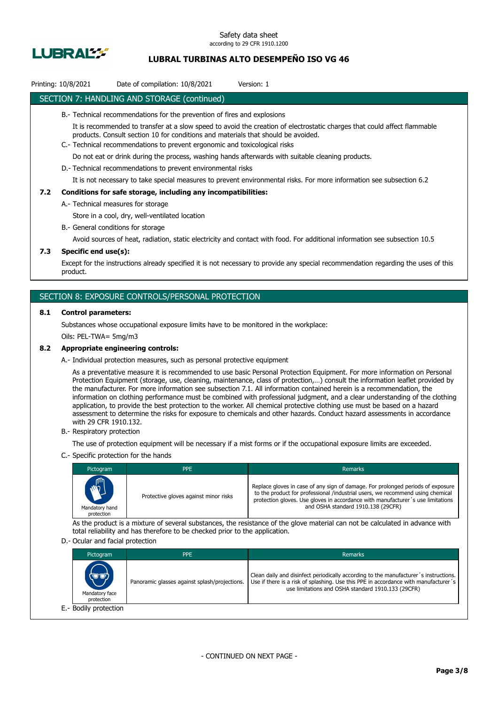

## **LUBRAL TURBINAS ALTO DESEMPEÑO ISO VG 46**

## Printing: 10/8/2021 Date of compilation: 10/8/2021 Version: 1

### SECTION 7: HANDLING AND STORAGE (continued)

- B.- Technical recommendations for the prevention of fires and explosions
	- It is recommended to transfer at a slow speed to avoid the creation of electrostatic charges that could affect flammable products. Consult section 10 for conditions and materials that should be avoided.
- C.- Technical recommendations to prevent ergonomic and toxicological risks

Do not eat or drink during the process, washing hands afterwards with suitable cleaning products.

D.- Technical recommendations to prevent environmental risks

It is not necessary to take special measures to prevent environmental risks. For more information see subsection 6.2

#### **7.2 Conditions for safe storage, including any incompatibilities:**

A.- Technical measures for storage

Store in a cool, dry, well-ventilated location

B.- General conditions for storage

Avoid sources of heat, radiation, static electricity and contact with food. For additional information see subsection 10.5

#### **7.3 Specific end use(s):**

Except for the instructions already specified it is not necessary to provide any special recommendation regarding the uses of this product.

### SECTION 8: EXPOSURE CONTROLS/PERSONAL PROTECTION

#### **8.1 Control parameters:**

Substances whose occupational exposure limits have to be monitored in the workplace:

Oils: PEL-TWA= 5mg/m3

#### **8.2 Appropriate engineering controls:**

A.- Individual protection measures, such as personal protective equipment

As a preventative measure it is recommended to use basic Personal Protection Equipment. For more information on Personal Protection Equipment (storage, use, cleaning, maintenance, class of protection,…) consult the information leaflet provided by the manufacturer. For more information see subsection 7.1. All information contained herein is a recommendation, the information on clothing performance must be combined with professional judgment, and a clear understanding of the clothing application, to provide the best protection to the worker. All chemical protective clothing use must be based on a hazard assessment to determine the risks for exposure to chemicals and other hazards. Conduct hazard assessments in accordance with 29 CFR 1910.132.

B.- Respiratory protection

The use of protection equipment will be necessary if a mist forms or if the occupational exposure limits are exceeded.

C.- Specific protection for the hands

| Pictogram                                  | <b>PPE</b>                            | <b>Remarks</b>                                                                                                                                                                                                                                                                             |
|--------------------------------------------|---------------------------------------|--------------------------------------------------------------------------------------------------------------------------------------------------------------------------------------------------------------------------------------------------------------------------------------------|
| <b>AND</b><br>Mandatory hand<br>protection | Protective gloves against minor risks | Replace gloves in case of any sign of damage. For prolonged periods of exposure<br>to the product for professional /industrial users, we recommend using chemical<br>protection gloves. Use gloves in accordance with manufacturer's use limitations<br>and OSHA standard 1910.138 (29CFR) |

As the product is a mixture of several substances, the resistance of the glove material can not be calculated in advance with total reliability and has therefore to be checked prior to the application.

#### D.- Ocular and facial protection

| Pictogram                             | <b>PPE</b>                                    | Remarks                                                                                                                                                                                                                           |
|---------------------------------------|-----------------------------------------------|-----------------------------------------------------------------------------------------------------------------------------------------------------------------------------------------------------------------------------------|
| (U'U)<br>Mandatory face<br>protection | Panoramic glasses against splash/projections. | Clean daily and disinfect periodically according to the manufacturer's instructions.<br>Use if there is a risk of splashing. Use this PPE in accordance with manufacturer's<br>use limitations and OSHA standard 1910.133 (29CFR) |
| E.- Bodily protection                 |                                               |                                                                                                                                                                                                                                   |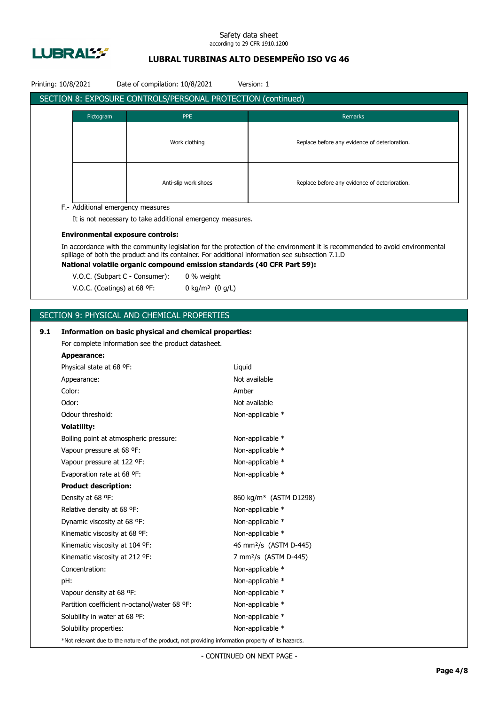

## **LUBRAL TURBINAS ALTO DESEMPEÑO ISO VG 46**

|     | Printing: 10/8/2021            | Date of compilation: 10/8/2021                                                                     |                               | Version: 1                                                                                                                                                                                                                     |  |  |
|-----|--------------------------------|----------------------------------------------------------------------------------------------------|-------------------------------|--------------------------------------------------------------------------------------------------------------------------------------------------------------------------------------------------------------------------------|--|--|
|     |                                | SECTION 8: EXPOSURE CONTROLS/PERSONAL PROTECTION (continued)                                       |                               |                                                                                                                                                                                                                                |  |  |
|     | Pictogram                      |                                                                                                    | <b>PPE</b>                    | Remarks                                                                                                                                                                                                                        |  |  |
|     |                                |                                                                                                    |                               |                                                                                                                                                                                                                                |  |  |
|     |                                |                                                                                                    | Work clothing                 |                                                                                                                                                                                                                                |  |  |
|     |                                |                                                                                                    |                               | Replace before any evidence of deterioration.                                                                                                                                                                                  |  |  |
|     |                                |                                                                                                    |                               |                                                                                                                                                                                                                                |  |  |
|     |                                |                                                                                                    |                               |                                                                                                                                                                                                                                |  |  |
|     |                                |                                                                                                    | Anti-slip work shoes          | Replace before any evidence of deterioration.                                                                                                                                                                                  |  |  |
|     |                                |                                                                                                    |                               |                                                                                                                                                                                                                                |  |  |
|     |                                | F.- Additional emergency measures                                                                  |                               |                                                                                                                                                                                                                                |  |  |
|     |                                | It is not necessary to take additional emergency measures.                                         |                               |                                                                                                                                                                                                                                |  |  |
|     |                                | <b>Environmental exposure controls:</b>                                                            |                               |                                                                                                                                                                                                                                |  |  |
|     |                                |                                                                                                    |                               | In accordance with the community legislation for the protection of the environment it is recommended to avoid environmental<br>spillage of both the product and its container. For additional information see subsection 7.1.D |  |  |
|     |                                |                                                                                                    |                               | National volatile organic compound emission standards (40 CFR Part 59):                                                                                                                                                        |  |  |
|     |                                | V.O.C. (Subpart C - Consumer):                                                                     | 0 % weight                    |                                                                                                                                                                                                                                |  |  |
|     |                                | V.O.C. (Coatings) at 68 °F:                                                                        | 0 kg/m <sup>3</sup> $(0 g/L)$ |                                                                                                                                                                                                                                |  |  |
|     |                                |                                                                                                    |                               |                                                                                                                                                                                                                                |  |  |
|     |                                | SECTION 9: PHYSICAL AND CHEMICAL PROPERTIES                                                        |                               |                                                                                                                                                                                                                                |  |  |
|     |                                |                                                                                                    |                               |                                                                                                                                                                                                                                |  |  |
| 9.1 |                                | Information on basic physical and chemical properties:                                             |                               |                                                                                                                                                                                                                                |  |  |
|     | <b>Appearance:</b>             | For complete information see the product datasheet.                                                |                               |                                                                                                                                                                                                                                |  |  |
|     | Physical state at 68 °F:       |                                                                                                    | Liquid                        |                                                                                                                                                                                                                                |  |  |
|     | Appearance:                    |                                                                                                    |                               | Not available                                                                                                                                                                                                                  |  |  |
|     | Color:                         |                                                                                                    | Amber                         |                                                                                                                                                                                                                                |  |  |
|     | Odor:                          |                                                                                                    |                               | Not available                                                                                                                                                                                                                  |  |  |
|     | Odour threshold:               |                                                                                                    |                               | Non-applicable *                                                                                                                                                                                                               |  |  |
|     | <b>Volatility:</b>             |                                                                                                    |                               |                                                                                                                                                                                                                                |  |  |
|     |                                | Boiling point at atmospheric pressure:                                                             |                               | Non-applicable *                                                                                                                                                                                                               |  |  |
|     | Vapour pressure at 68 °F:      |                                                                                                    |                               | Non-applicable *                                                                                                                                                                                                               |  |  |
|     | Vapour pressure at 122 °F:     |                                                                                                    |                               | Non-applicable *                                                                                                                                                                                                               |  |  |
|     | Evaporation rate at 68 °F:     |                                                                                                    |                               | Non-applicable *                                                                                                                                                                                                               |  |  |
|     | <b>Product description:</b>    |                                                                                                    |                               |                                                                                                                                                                                                                                |  |  |
|     | Density at 68 °F:              |                                                                                                    |                               | 860 kg/m <sup>3</sup> (ASTM D1298)                                                                                                                                                                                             |  |  |
|     | Relative density at 68 °F:     |                                                                                                    |                               | Non-applicable *                                                                                                                                                                                                               |  |  |
|     | Dynamic viscosity at 68 °F:    |                                                                                                    |                               | Non-applicable *                                                                                                                                                                                                               |  |  |
|     | Kinematic viscosity at 68 °F:  |                                                                                                    |                               | Non-applicable *                                                                                                                                                                                                               |  |  |
|     | Kinematic viscosity at 104 °F: |                                                                                                    |                               | 46 mm <sup>2</sup> /s (ASTM D-445)                                                                                                                                                                                             |  |  |
|     | Kinematic viscosity at 212 °F: |                                                                                                    |                               | 7 mm <sup>2</sup> /s (ASTM D-445)                                                                                                                                                                                              |  |  |
|     | Concentration:                 |                                                                                                    |                               | Non-applicable *                                                                                                                                                                                                               |  |  |
|     | pH:                            |                                                                                                    |                               | Non-applicable *                                                                                                                                                                                                               |  |  |
|     | Vapour density at 68 °F:       |                                                                                                    |                               | Non-applicable *                                                                                                                                                                                                               |  |  |
|     |                                | Partition coefficient n-octanol/water 68 °F:                                                       |                               | Non-applicable *                                                                                                                                                                                                               |  |  |
|     | Solubility in water at 68 °F:  |                                                                                                    |                               | Non-applicable *                                                                                                                                                                                                               |  |  |
|     | Solubility properties:         |                                                                                                    |                               | Non-applicable *                                                                                                                                                                                                               |  |  |
|     |                                | *Not relevant due to the nature of the product, not providing information property of its hazards. |                               |                                                                                                                                                                                                                                |  |  |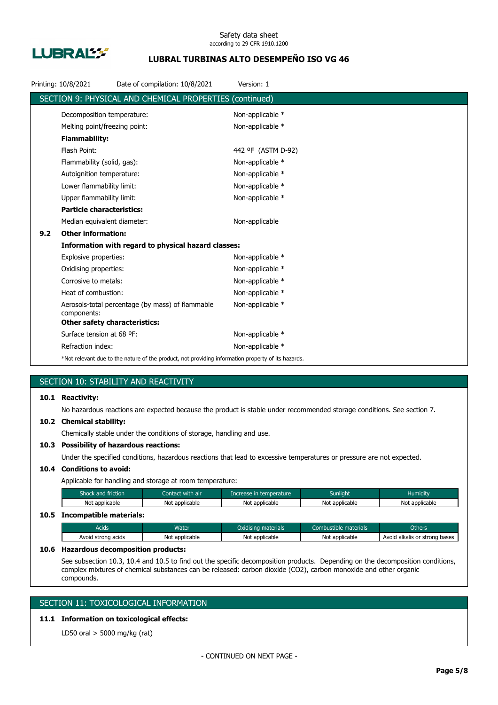

## **LUBRAL TURBINAS ALTO DESEMPEÑO ISO VG 46**

|     | Printing: 10/8/2021                  | Date of compilation: 10/8/2021                                                                     | Version: 1         |
|-----|--------------------------------------|----------------------------------------------------------------------------------------------------|--------------------|
|     |                                      | SECTION 9: PHYSICAL AND CHEMICAL PROPERTIES (continued)                                            |                    |
|     | Decomposition temperature:           |                                                                                                    | Non-applicable *   |
|     | Melting point/freezing point:        |                                                                                                    | Non-applicable *   |
|     | <b>Flammability:</b>                 |                                                                                                    |                    |
|     | Flash Point:                         |                                                                                                    | 442 °F (ASTM D-92) |
|     | Flammability (solid, gas):           |                                                                                                    | Non-applicable *   |
|     | Autoignition temperature:            |                                                                                                    | Non-applicable *   |
|     | Lower flammability limit:            |                                                                                                    | Non-applicable *   |
|     | Upper flammability limit:            |                                                                                                    | Non-applicable *   |
|     | <b>Particle characteristics:</b>     |                                                                                                    |                    |
|     | Median equivalent diameter:          |                                                                                                    | Non-applicable     |
| 9.2 | <b>Other information:</b>            |                                                                                                    |                    |
|     |                                      | Information with regard to physical hazard classes:                                                |                    |
|     | Explosive properties:                |                                                                                                    | Non-applicable *   |
|     | Oxidising properties:                |                                                                                                    | Non-applicable *   |
|     | Corrosive to metals:                 |                                                                                                    | Non-applicable *   |
|     | Heat of combustion:                  |                                                                                                    | Non-applicable *   |
|     | components:                          | Aerosols-total percentage (by mass) of flammable                                                   | Non-applicable *   |
|     | <b>Other safety characteristics:</b> |                                                                                                    |                    |
|     | Surface tension at 68 °F:            |                                                                                                    | Non-applicable *   |
|     | Refraction index:                    |                                                                                                    | Non-applicable *   |
|     |                                      | *Not relevant due to the nature of the product, not providing information property of its hazards. |                    |

## SECTION 10: STABILITY AND REACTIVITY

### **10.1 Reactivity:**

No hazardous reactions are expected because the product is stable under recommended storage conditions. See section 7.

#### **10.2 Chemical stability:**

Chemically stable under the conditions of storage, handling and use.

### **10.3 Possibility of hazardous reactions:**

Under the specified conditions, hazardous reactions that lead to excessive temperatures or pressure are not expected.

## **10.4 Conditions to avoid:**

Applicable for handling and storage at room temperature:

| Shock and friction           | Contact with air | Increase in temperature | <b>Sunlight</b> | <b>Humidity</b> |
|------------------------------|------------------|-------------------------|-----------------|-----------------|
| Not applicable               | Not applicable   | Not applicable          | Not applicable  | Not applicable  |
| 10.5 Incompatible materials: |                  |                         |                 |                 |

## Acids **Water Water Combustible materials** Combustible materials Combustible materials Combustible materials Avoid strong acids Not applicable Not applicable Not applicable Not applicable Avoid alkalis or strong bases

#### **10.6 Hazardous decomposition products:**

See subsection 10.3, 10.4 and 10.5 to find out the specific decomposition products. Depending on the decomposition conditions, complex mixtures of chemical substances can be released: carbon dioxide (CO2), carbon monoxide and other organic compounds.

## SECTION 11: TOXICOLOGICAL INFORMATION

## **11.1 Information on toxicological effects:**

LD50 oral > 5000 mg/kg (rat)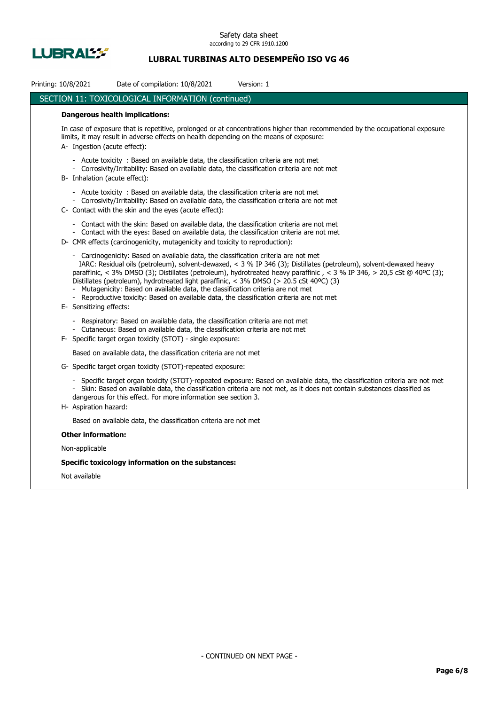

## **LUBRAL TURBINAS ALTO DESEMPEÑO ISO VG 46**

| Printing: 10/8/2021       | Date of compilation: 10/8/2021<br>Version: 1                                                                                                                                                                                                                                                                                                                                                                                                                                                                                                                                                                 |
|---------------------------|--------------------------------------------------------------------------------------------------------------------------------------------------------------------------------------------------------------------------------------------------------------------------------------------------------------------------------------------------------------------------------------------------------------------------------------------------------------------------------------------------------------------------------------------------------------------------------------------------------------|
|                           | <b>SECTION 11: TOXICOLOGICAL INFORMATION (continued)</b>                                                                                                                                                                                                                                                                                                                                                                                                                                                                                                                                                     |
|                           | <b>Dangerous health implications:</b>                                                                                                                                                                                                                                                                                                                                                                                                                                                                                                                                                                        |
|                           | In case of exposure that is repetitive, prolonged or at concentrations higher than recommended by the occupational exposure<br>limits, it may result in adverse effects on health depending on the means of exposure:<br>A- Ingestion (acute effect):                                                                                                                                                                                                                                                                                                                                                        |
|                           | - Acute toxicity : Based on available data, the classification criteria are not met<br>- Corrosivity/Irritability: Based on available data, the classification criteria are not met<br>B- Inhalation (acute effect):                                                                                                                                                                                                                                                                                                                                                                                         |
|                           | - Acute toxicity : Based on available data, the classification criteria are not met<br>- Corrosivity/Irritability: Based on available data, the classification criteria are not met<br>C- Contact with the skin and the eyes (acute effect):                                                                                                                                                                                                                                                                                                                                                                 |
|                           | Contact with the skin: Based on available data, the classification criteria are not met<br>- Contact with the eyes: Based on available data, the classification criteria are not met<br>D- CMR effects (carcinogenicity, mutagenicity and toxicity to reproduction):                                                                                                                                                                                                                                                                                                                                         |
|                           | - Carcinogenicity: Based on available data, the classification criteria are not met<br>IARC: Residual oils (petroleum), solvent-dewaxed, < 3 % IP 346 (3); Distillates (petroleum), solvent-dewaxed heavy<br>paraffinic, < 3% DMSO (3); Distillates (petroleum), hydrotreated heavy paraffinic, < 3 % IP 346, > 20,5 cSt @ 40°C (3);<br>Distillates (petroleum), hydrotreated light paraffinic, < 3% DMSO (> 20.5 cSt 40°C) (3)<br>Mutagenicity: Based on available data, the classification criteria are not met<br>Reproductive toxicity: Based on available data, the classification criteria are not met |
| E- Sensitizing effects:   |                                                                                                                                                                                                                                                                                                                                                                                                                                                                                                                                                                                                              |
|                           | - Respiratory: Based on available data, the classification criteria are not met<br>- Cutaneous: Based on available data, the classification criteria are not met                                                                                                                                                                                                                                                                                                                                                                                                                                             |
|                           | F- Specific target organ toxicity (STOT) - single exposure:                                                                                                                                                                                                                                                                                                                                                                                                                                                                                                                                                  |
|                           | Based on available data, the classification criteria are not met                                                                                                                                                                                                                                                                                                                                                                                                                                                                                                                                             |
|                           | G- Specific target organ toxicity (STOT)-repeated exposure:                                                                                                                                                                                                                                                                                                                                                                                                                                                                                                                                                  |
|                           | Specific target organ toxicity (STOT)-repeated exposure: Based on available data, the classification criteria are not met<br>Skin: Based on available data, the classification criteria are not met, as it does not contain substances classified as<br>dangerous for this effect. For more information see section 3.                                                                                                                                                                                                                                                                                       |
| H- Aspiration hazard:     |                                                                                                                                                                                                                                                                                                                                                                                                                                                                                                                                                                                                              |
|                           | Based on available data, the classification criteria are not met                                                                                                                                                                                                                                                                                                                                                                                                                                                                                                                                             |
| <b>Other information:</b> |                                                                                                                                                                                                                                                                                                                                                                                                                                                                                                                                                                                                              |
| Non-applicable            |                                                                                                                                                                                                                                                                                                                                                                                                                                                                                                                                                                                                              |
|                           | Specific toxicology information on the substances:                                                                                                                                                                                                                                                                                                                                                                                                                                                                                                                                                           |
| Not available             |                                                                                                                                                                                                                                                                                                                                                                                                                                                                                                                                                                                                              |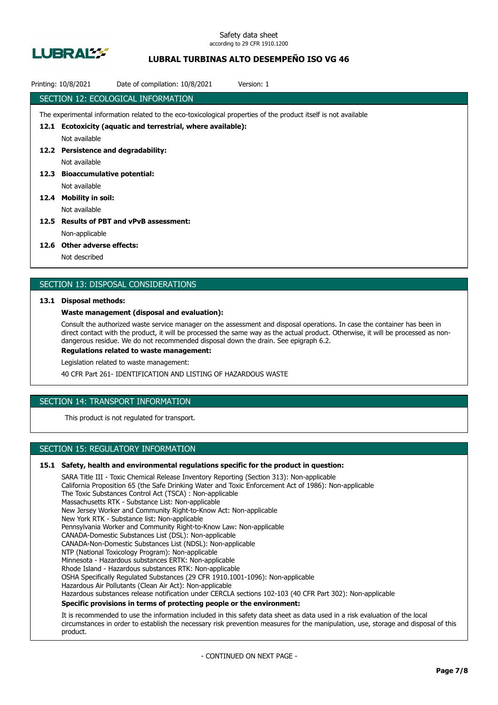

## **LUBRAL TURBINAS ALTO DESEMPEÑO ISO VG 46**

| Printing: 10/8/2021 | Date of compilation: 10/8/2021<br>Version: 1                                                                    |
|---------------------|-----------------------------------------------------------------------------------------------------------------|
|                     | SECTION 12: ECOLOGICAL INFORMATION                                                                              |
|                     | The experimental information related to the eco-toxicological properties of the product itself is not available |
| 12.1                | Ecotoxicity (aquatic and terrestrial, where available):                                                         |
|                     | Not available                                                                                                   |
|                     | 12.2 Persistence and degradability:                                                                             |
|                     | Not available                                                                                                   |
| 12.3                | <b>Bioaccumulative potential:</b>                                                                               |
|                     | Not available                                                                                                   |
| 12.4                | <b>Mobility in soil:</b>                                                                                        |
|                     | Not available                                                                                                   |
| 12.5                | <b>Results of PBT and vPvB assessment:</b>                                                                      |
|                     | Non-applicable                                                                                                  |
|                     |                                                                                                                 |

#### **12.6 Other adverse effects:**

Not described

### SECTION 13: DISPOSAL CONSIDERATIONS

#### **13.1 Disposal methods:**

#### **Waste management (disposal and evaluation):**

Consult the authorized waste service manager on the assessment and disposal operations. In case the container has been in direct contact with the product, it will be processed the same way as the actual product. Otherwise, it will be processed as nondangerous residue. We do not recommended disposal down the drain. See epigraph 6.2.

**Regulations related to waste management:**

Legislation related to waste management:

40 CFR Part 261- IDENTIFICATION AND LISTING OF HAZARDOUS WASTE

## SECTION 14: TRANSPORT INFORMATION

This product is not regulated for transport.

## SECTION 15: REGULATORY INFORMATION

#### **15.1 Safety, health and environmental regulations specific for the product in question:**

SARA Title III - Toxic Chemical Release Inventory Reporting (Section 313): Non-applicable California Proposition 65 (the Safe Drinking Water and Toxic Enforcement Act of 1986): Non-applicable The Toxic Substances Control Act (TSCA) : Non-applicable Massachusetts RTK - Substance List: Non-applicable New Jersey Worker and Community Right-to-Know Act: Non-applicable New York RTK - Substance list: Non-applicable Pennsylvania Worker and Community Right-to-Know Law: Non-applicable CANADA-Domestic Substances List (DSL): Non-applicable CANADA-Non-Domestic Substances List (NDSL): Non-applicable NTP (National Toxicology Program): Non-applicable Minnesota - Hazardous substances ERTK: Non-applicable Rhode Island - Hazardous substances RTK: Non-applicable OSHA Specifically Regulated Substances (29 CFR 1910.1001-1096): Non-applicable Hazardous Air Pollutants (Clean Air Act): Non-applicable Hazardous substances release notification under CERCLA sections 102-103 (40 CFR Part 302): Non-applicable **Specific provisions in terms of protecting people or the environment:**

It is recommended to use the information included in this safety data sheet as data used in a risk evaluation of the local circumstances in order to establish the necessary risk prevention measures for the manipulation, use, storage and disposal of this product.

- CONTINUED ON NEXT PAGE -